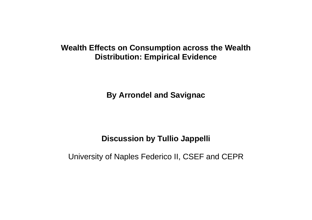#### **Wealth Effects on Consumption across the Wealth Distribution: Empirical Evidence**

**By Arrondel and Savignac** 

#### **Discussion by Tullio Jappelli**

University of Naples Federico II, CSEF and CEPR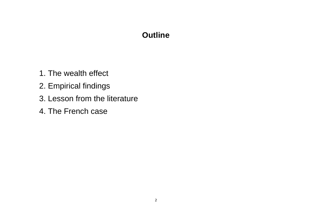## **Outline**

- 1. The wealth effect
- 2. Empirical findings
- 3. Lesson from the literature
- 4. The French case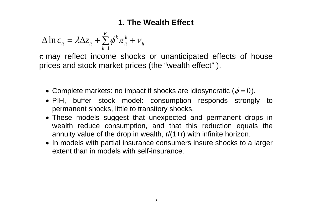### **1. The Wealth Effect**

$$
\Delta \ln c_{it} = \lambda \Delta z_{it} + \sum_{k=1}^{K} \phi^k \pi_{it}^k + v_{it}
$$

 $\pi$  may reflect income shocks or unanticipated effects of house prices and stock market prices (the "wealth effect" ).

- Complete markets: no impact if shocks are idiosyncratic ( $\phi = 0$ ).
- PIH, buffer stock model: consumption responds strongly to permanent shocks, little to transitory shocks.
- These models suggest that unexpected and permanent drops in wealth reduce consumption, and that this reduction equals the annuity value of the drop in wealth,  $r/(1+r)$  with infinite horizon.
- In models with partial insurance consumers insure shocks to a larger extent than in models with self-insurance.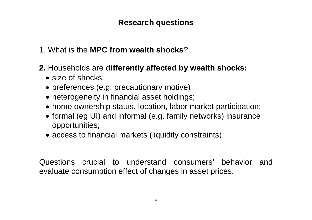## **Research questions**

- 1. What is the **MPC from wealth shocks**?
- **2.** Households are **differently affected by wealth shocks:**
	- size of shocks;
	- preferences (e.g. precautionary motive)
	- heterogeneity in financial asset holdings;
	- home ownership status, location, labor market participation;
	- formal (eg UI) and informal (e.g. family networks) insurance opportunities;
	- access to financial markets (liquidity constraints)

Questions crucial to understand consumers' behavior and evaluate consumption effect of changes in asset prices.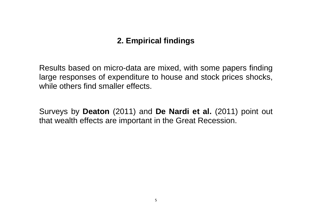# **2. Empirical findings**

Results based on micro-data are mixed, with some papers finding large responses of expenditure to house and stock prices shocks, while others find smaller effects.

Surveys by **Deaton** (2011) and **De Nardi et al.** (2011) point out that wealth effects are important in the Great Recession.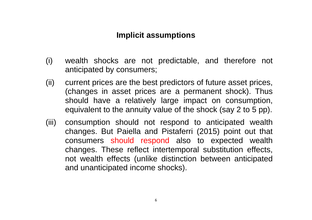#### **Implicit assumptions**

- (i) wealth shocks are not predictable, and therefore not anticipated by consumers;
- (ii) current prices are the best predictors of future asset prices, (changes in asset prices are a permanent shock). Thus should have a relatively large impact on consumption, equivalent to the annuity value of the shock (say 2 to 5 pp).
- (iii) consumption should not respond to anticipated wealth changes. But Paiella and Pistaferri (2015) point out that consumers should respond also to expected wealth changes. These reflect intertemporal substitution effects, not wealth effects (unlike distinction between anticipated and unanticipated income shocks).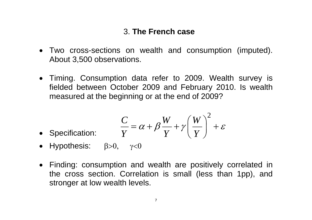### 3. **The French case**

- Two cross-sections on wealth and consumption (imputed). About 3,500 observations.
- Timing. Consumption data refer to 2009. Wealth survey is fielded between October 2009 and February 2010. Is wealth measured at the beginning or at the end of 2009?

• Specification: 
$$
\frac{C}{Y} = \alpha + \beta \frac{W}{Y} + \gamma \left(\frac{W}{Y}\right)^2 + \varepsilon
$$

- Hypothesis:  $\beta > 0$ ,  $\gamma < 0$
- Finding: consumption and wealth are positively correlated in the cross section. Correlation is small (less than 1pp), and stronger at low wealth levels.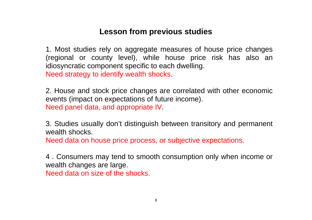## **Lesson from previous studies**

1. Most studies rely on aggregate measures of house price changes (regional or county level), while house price risk has also an idiosyncratic component specific to each dwelling. Need strategy to identify wealth shocks.

2. House and stock price changes are correlated with other economic events (impact on expectations of future income). Need panel data, and appropriate IV.

3. Studies usually don't distinguish between transitory and permanent wealth shocks

Need data on house price process, or subjective expectations.

4 . Consumers may tend to smooth consumption only when income or wealth changes are large. Need data on size of the shocks.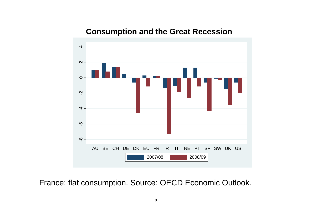#### **Consumption and the Great Recession**



France: flat consumption. Source: OECD Economic Outlook.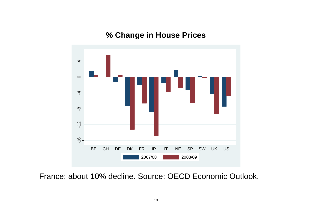### **% Change in House Prices**



France: about 10% decline. Source: OECD Economic Outlook.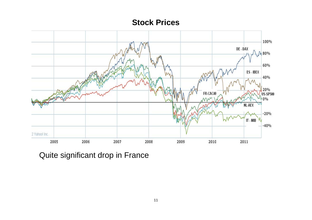#### **Stock Prices**



Quite significant drop in France